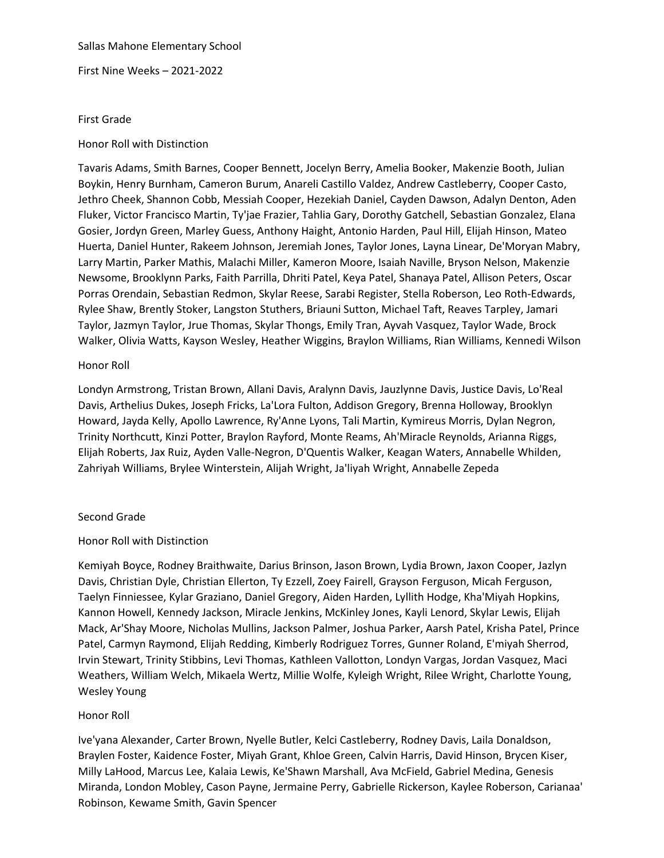Sallas Mahone Elementary School

First Nine Weeks – 2021-2022

#### First Grade

#### Honor Roll with Distinction

Tavaris Adams, Smith Barnes, Cooper Bennett, Jocelyn Berry, Amelia Booker, Makenzie Booth, Julian Boykin, Henry Burnham, Cameron Burum, Anareli Castillo Valdez, Andrew Castleberry, Cooper Casto, Jethro Cheek, Shannon Cobb, Messiah Cooper, Hezekiah Daniel, Cayden Dawson, Adalyn Denton, Aden Fluker, Victor Francisco Martin, Ty'jae Frazier, Tahlia Gary, Dorothy Gatchell, Sebastian Gonzalez, Elana Gosier, Jordyn Green, Marley Guess, Anthony Haight, Antonio Harden, Paul Hill, Elijah Hinson, Mateo Huerta, Daniel Hunter, Rakeem Johnson, Jeremiah Jones, Taylor Jones, Layna Linear, De'Moryan Mabry, Larry Martin, Parker Mathis, Malachi Miller, Kameron Moore, Isaiah Naville, Bryson Nelson, Makenzie Newsome, Brooklynn Parks, Faith Parrilla, Dhriti Patel, Keya Patel, Shanaya Patel, Allison Peters, Oscar Porras Orendain, Sebastian Redmon, Skylar Reese, Sarabi Register, Stella Roberson, Leo Roth-Edwards, Rylee Shaw, Brently Stoker, Langston Stuthers, Briauni Sutton, Michael Taft, Reaves Tarpley, Jamari Taylor, Jazmyn Taylor, Jrue Thomas, Skylar Thongs, Emily Tran, Ayvah Vasquez, Taylor Wade, Brock Walker, Olivia Watts, Kayson Wesley, Heather Wiggins, Braylon Williams, Rian Williams, Kennedi Wilson

#### Honor Roll

Londyn Armstrong, Tristan Brown, Allani Davis, Aralynn Davis, Jauzlynne Davis, Justice Davis, Lo'Real Davis, Arthelius Dukes, Joseph Fricks, La'Lora Fulton, Addison Gregory, Brenna Holloway, Brooklyn Howard, Jayda Kelly, Apollo Lawrence, Ry'Anne Lyons, Tali Martin, Kymireus Morris, Dylan Negron, Trinity Northcutt, Kinzi Potter, Braylon Rayford, Monte Reams, Ah'Miracle Reynolds, Arianna Riggs, Elijah Roberts, Jax Ruiz, Ayden Valle-Negron, D'Quentis Walker, Keagan Waters, Annabelle Whilden, Zahriyah Williams, Brylee Winterstein, Alijah Wright, Ja'liyah Wright, Annabelle Zepeda

#### Second Grade

# Honor Roll with Distinction

Kemiyah Boyce, Rodney Braithwaite, Darius Brinson, Jason Brown, Lydia Brown, Jaxon Cooper, Jazlyn Davis, Christian Dyle, Christian Ellerton, Ty Ezzell, Zoey Fairell, Grayson Ferguson, Micah Ferguson, Taelyn Finniessee, Kylar Graziano, Daniel Gregory, Aiden Harden, Lyllith Hodge, Kha'Miyah Hopkins, Kannon Howell, Kennedy Jackson, Miracle Jenkins, McKinley Jones, Kayli Lenord, Skylar Lewis, Elijah Mack, Ar'Shay Moore, Nicholas Mullins, Jackson Palmer, Joshua Parker, Aarsh Patel, Krisha Patel, Prince Patel, Carmyn Raymond, Elijah Redding, Kimberly Rodriguez Torres, Gunner Roland, E'miyah Sherrod, Irvin Stewart, Trinity Stibbins, Levi Thomas, Kathleen Vallotton, Londyn Vargas, Jordan Vasquez, Maci Weathers, William Welch, Mikaela Wertz, Millie Wolfe, Kyleigh Wright, Rilee Wright, Charlotte Young, Wesley Young

# Honor Roll

Ive'yana Alexander, Carter Brown, Nyelle Butler, Kelci Castleberry, Rodney Davis, Laila Donaldson, Braylen Foster, Kaidence Foster, Miyah Grant, Khloe Green, Calvin Harris, David Hinson, Brycen Kiser, Milly LaHood, Marcus Lee, Kalaia Lewis, Ke'Shawn Marshall, Ava McField, Gabriel Medina, Genesis Miranda, London Mobley, Cason Payne, Jermaine Perry, Gabrielle Rickerson, Kaylee Roberson, Carianaa' Robinson, Kewame Smith, Gavin Spencer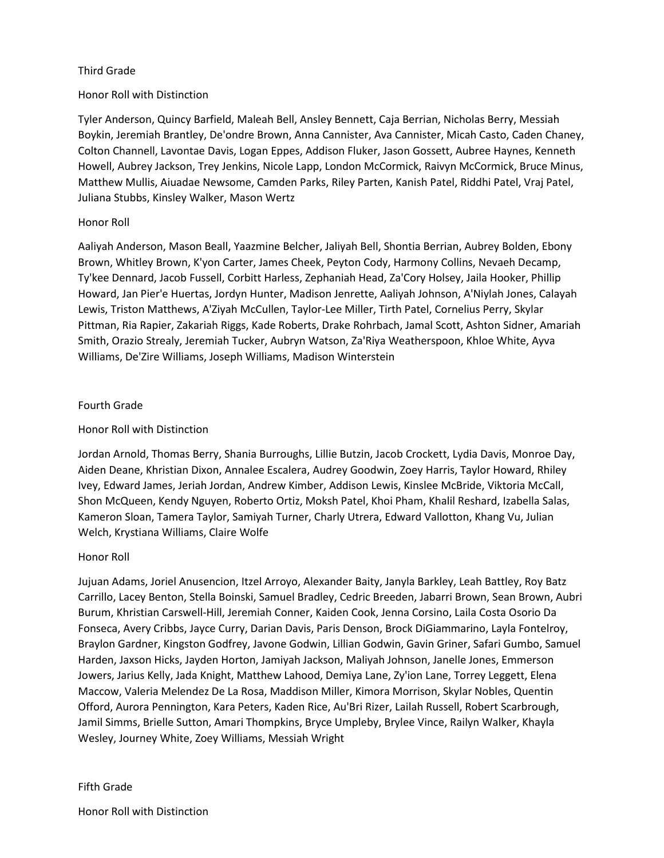# Third Grade

# Honor Roll with Distinction

Tyler Anderson, Quincy Barfield, Maleah Bell, Ansley Bennett, Caja Berrian, Nicholas Berry, Messiah Boykin, Jeremiah Brantley, De'ondre Brown, Anna Cannister, Ava Cannister, Micah Casto, Caden Chaney, Colton Channell, Lavontae Davis, Logan Eppes, Addison Fluker, Jason Gossett, Aubree Haynes, Kenneth Howell, Aubrey Jackson, Trey Jenkins, Nicole Lapp, London McCormick, Raivyn McCormick, Bruce Minus, Matthew Mullis, Aiuadae Newsome, Camden Parks, Riley Parten, Kanish Patel, Riddhi Patel, Vraj Patel, Juliana Stubbs, Kinsley Walker, Mason Wertz

# Honor Roll

Aaliyah Anderson, Mason Beall, Yaazmine Belcher, Jaliyah Bell, Shontia Berrian, Aubrey Bolden, Ebony Brown, Whitley Brown, K'yon Carter, James Cheek, Peyton Cody, Harmony Collins, Nevaeh Decamp, Ty'kee Dennard, Jacob Fussell, Corbitt Harless, Zephaniah Head, Za'Cory Holsey, Jaila Hooker, Phillip Howard, Jan Pier'e Huertas, Jordyn Hunter, Madison Jenrette, Aaliyah Johnson, A'Niylah Jones, Calayah Lewis, Triston Matthews, A'Ziyah McCullen, Taylor-Lee Miller, Tirth Patel, Cornelius Perry, Skylar Pittman, Ria Rapier, Zakariah Riggs, Kade Roberts, Drake Rohrbach, Jamal Scott, Ashton Sidner, Amariah Smith, Orazio Strealy, Jeremiah Tucker, Aubryn Watson, Za'Riya Weatherspoon, Khloe White, Ayva Williams, De'Zire Williams, Joseph Williams, Madison Winterstein

# Fourth Grade

# Honor Roll with Distinction

Jordan Arnold, Thomas Berry, Shania Burroughs, Lillie Butzin, Jacob Crockett, Lydia Davis, Monroe Day, Aiden Deane, Khristian Dixon, Annalee Escalera, Audrey Goodwin, Zoey Harris, Taylor Howard, Rhiley Ivey, Edward James, Jeriah Jordan, Andrew Kimber, Addison Lewis, Kinslee McBride, Viktoria McCall, Shon McQueen, Kendy Nguyen, Roberto Ortiz, Moksh Patel, Khoi Pham, Khalil Reshard, Izabella Salas, Kameron Sloan, Tamera Taylor, Samiyah Turner, Charly Utrera, Edward Vallotton, Khang Vu, Julian Welch, Krystiana Williams, Claire Wolfe

# Honor Roll

Jujuan Adams, Joriel Anusencion, Itzel Arroyo, Alexander Baity, Janyla Barkley, Leah Battley, Roy Batz Carrillo, Lacey Benton, Stella Boinski, Samuel Bradley, Cedric Breeden, Jabarri Brown, Sean Brown, Aubri Burum, Khristian Carswell-Hill, Jeremiah Conner, Kaiden Cook, Jenna Corsino, Laila Costa Osorio Da Fonseca, Avery Cribbs, Jayce Curry, Darian Davis, Paris Denson, Brock DiGiammarino, Layla Fontelroy, Braylon Gardner, Kingston Godfrey, Javone Godwin, Lillian Godwin, Gavin Griner, Safari Gumbo, Samuel Harden, Jaxson Hicks, Jayden Horton, Jamiyah Jackson, Maliyah Johnson, Janelle Jones, Emmerson Jowers, Jarius Kelly, Jada Knight, Matthew Lahood, Demiya Lane, Zy'ion Lane, Torrey Leggett, Elena Maccow, Valeria Melendez De La Rosa, Maddison Miller, Kimora Morrison, Skylar Nobles, Quentin Offord, Aurora Pennington, Kara Peters, Kaden Rice, Au'Bri Rizer, Lailah Russell, Robert Scarbrough, Jamil Simms, Brielle Sutton, Amari Thompkins, Bryce Umpleby, Brylee Vince, Railyn Walker, Khayla Wesley, Journey White, Zoey Williams, Messiah Wright

# Fifth Grade

Honor Roll with Distinction